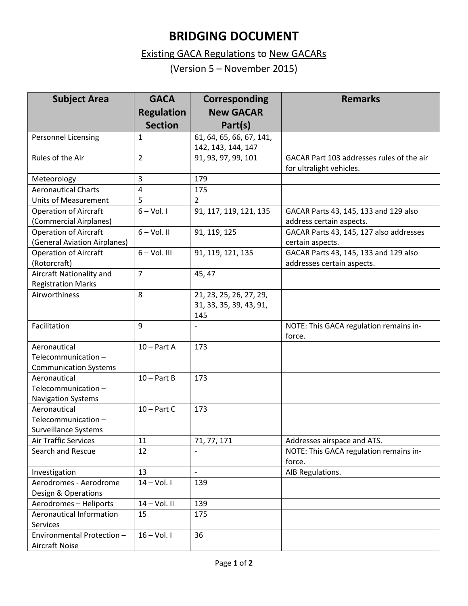## **BRIDGING DOCUMENT**

## Existing GACA Regulations to New GACARs

(Version 5 – November 2015)

| <b>Subject Area</b>          | <b>GACA</b>       | <b>Corresponding</b>     | <b>Remarks</b>                            |
|------------------------------|-------------------|--------------------------|-------------------------------------------|
|                              | <b>Regulation</b> | <b>New GACAR</b>         |                                           |
|                              | <b>Section</b>    | Part(s)                  |                                           |
| <b>Personnel Licensing</b>   | 1                 | 61, 64, 65, 66, 67, 141, |                                           |
|                              |                   | 142, 143, 144, 147       |                                           |
| Rules of the Air             | $\overline{2}$    | 91, 93, 97, 99, 101      | GACAR Part 103 addresses rules of the air |
|                              |                   |                          | for ultralight vehicles.                  |
| Meteorology                  | 3                 | 179                      |                                           |
| <b>Aeronautical Charts</b>   | 4                 | 175                      |                                           |
| <b>Units of Measurement</b>  | 5                 | $\overline{2}$           |                                           |
| <b>Operation of Aircraft</b> | $6 - Vol.1$       | 91, 117, 119, 121, 135   | GACAR Parts 43, 145, 133 and 129 also     |
| (Commercial Airplanes)       |                   |                          | address certain aspects.                  |
| <b>Operation of Aircraft</b> | $6 - Vol.$ II     | 91, 119, 125             | GACAR Parts 43, 145, 127 also addresses   |
| (General Aviation Airplanes) |                   |                          | certain aspects.                          |
| <b>Operation of Aircraft</b> | $6 - Vol. III$    | 91, 119, 121, 135        | GACAR Parts 43, 145, 133 and 129 also     |
| (Rotorcraft)                 |                   |                          | addresses certain aspects.                |
| Aircraft Nationality and     | $\overline{7}$    | 45, 47                   |                                           |
| <b>Registration Marks</b>    |                   |                          |                                           |
| Airworthiness                | 8                 | 21, 23, 25, 26, 27, 29,  |                                           |
|                              |                   | 31, 33, 35, 39, 43, 91,  |                                           |
|                              |                   | 145                      |                                           |
| Facilitation                 | 9                 |                          | NOTE: This GACA regulation remains in-    |
|                              |                   |                          | force.                                    |
| Aeronautical                 | $10 - Part A$     | 173                      |                                           |
| Telecommunication-           |                   |                          |                                           |
| <b>Communication Systems</b> |                   |                          |                                           |
| Aeronautical                 | $10 - Part B$     | 173                      |                                           |
| Telecommunication-           |                   |                          |                                           |
| <b>Navigation Systems</b>    |                   |                          |                                           |
| Aeronautical                 | $10 - Part C$     | 173                      |                                           |
| Telecommunication-           |                   |                          |                                           |
| Surveillance Systems         |                   |                          |                                           |
| Air Traffic Services         | 11                | 71, 77, 171              | Addresses airspace and ATS.               |
| Search and Rescue            | 12                |                          | NOTE: This GACA regulation remains in-    |
|                              |                   |                          | force.                                    |
| Investigation                | 13                | $\overline{\phantom{a}}$ | AIB Regulations.                          |
| Aerodromes - Aerodrome       | $14 - Vol.1$      | 139                      |                                           |
| Design & Operations          |                   |                          |                                           |
| Aerodromes - Heliports       | $14 - Vol. II$    | 139                      |                                           |
| Aeronautical Information     | 15                | 175                      |                                           |
| Services                     |                   |                          |                                           |
| Environmental Protection -   | $16 - Vol.1$      | 36                       |                                           |
| <b>Aircraft Noise</b>        |                   |                          |                                           |